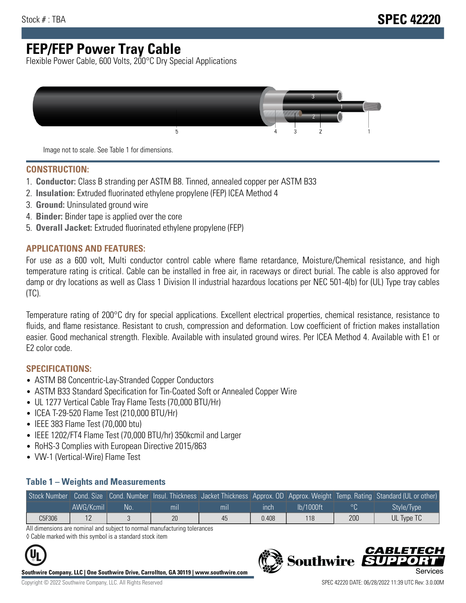# **FEP/FEP Power Tray Cable**

Flexible Power Cable, 600 Volts, 200°C Dry Special Applications



Image not to scale. See Table 1 for dimensions.

#### **CONSTRUCTION:**

- 1. **Conductor:** Class B stranding per ASTM B8. Tinned, annealed copper per ASTM B33
- 2. **Insulation:** Extruded fluorinated ethylene propylene (FEP) ICEA Method 4
- 3. **Ground:** Uninsulated ground wire
- 4. **Binder:** Binder tape is applied over the core
- 5. **Overall Jacket:** Extruded fluorinated ethylene propylene (FEP)

### **APPLICATIONS AND FEATURES:**

For use as a 600 volt, Multi conductor control cable where flame retardance, Moisture/Chemical resistance, and high temperature rating is critical. Cable can be installed in free air, in raceways or direct burial. The cable is also approved for damp or dry locations as well as Class 1 Division II industrial hazardous locations per NEC 501-4(b) for (UL) Type tray cables (TC).

Temperature rating of 200°C dry for special applications. Excellent electrical properties, chemical resistance, resistance to fluids, and flame resistance. Resistant to crush, compression and deformation. Low coefficient of friction makes installation easier. Good mechanical strength. Flexible. Available with insulated ground wires. Per ICEA Method 4. Available with E1 or E2 color code.

### **SPECIFICATIONS:**

- ASTM B8 Concentric-Lay-Stranded Copper Conductors
- ASTM B33 Standard Specification for Tin-Coated Soft or Annealed Copper Wire
- UL 1277 Vertical Cable Tray Flame Tests (70,000 BTU/Hr)
- ICEA T-29-520 Flame Test (210,000 BTU/Hr)
- IEEE 383 Flame Test (70,000 btu)
- IEEE 1202/FT4 Flame Test (70,000 BTU/hr) 350kcmil and Larger
- RoHS-3 Complies with European Directive 2015/863
- VW-1 (Vertical-Wire) Flame Test

#### **Table 1 – Weights and Measurements**

| Stock Number |           |     |     |                |       |           |     | Cond. Size Cond. Number Insul. Thickness Jacket Thickness Approx. OD Approx. Weight Temp. Rating Standard (UL or other) |
|--------------|-----------|-----|-----|----------------|-------|-----------|-----|-------------------------------------------------------------------------------------------------------------------------|
|              | AWG/Kcmil | No. | mıl | m <sub>l</sub> | ınch  | lb/1000ft |     | Style/Type                                                                                                              |
| C5F306       |           |     | 20  | 45             | 0.408 | 118       | 200 | UL Type TC                                                                                                              |

All dimensions are nominal and subject to normal manufacturing tolerances ◊ Cable marked with this symbol is a standard stock item

**Southwire Company, LLC | One Southwire Drive, Carrollton, GA 30119 | www.southwire.com**